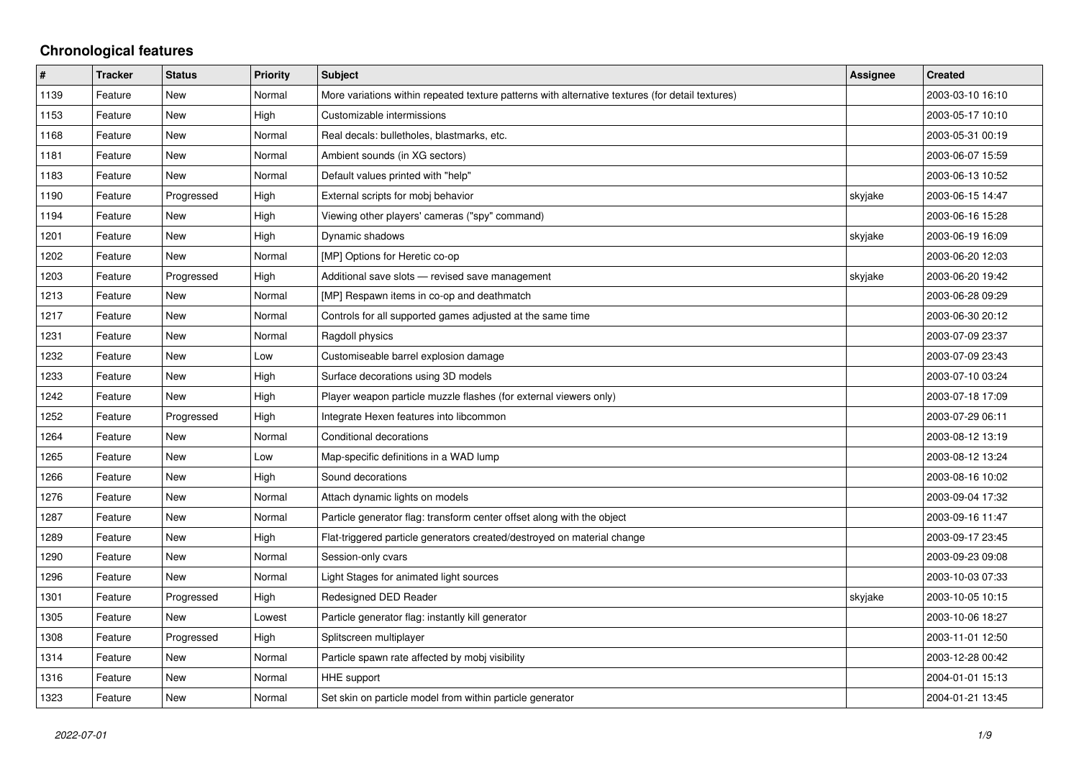## **Chronological features**

| $\pmb{\#}$ | <b>Tracker</b> | <b>Status</b> | <b>Priority</b> | <b>Subject</b>                                                                                   | Assignee | <b>Created</b>   |
|------------|----------------|---------------|-----------------|--------------------------------------------------------------------------------------------------|----------|------------------|
| 1139       | Feature        | <b>New</b>    | Normal          | More variations within repeated texture patterns with alternative textures (for detail textures) |          | 2003-03-10 16:10 |
| 1153       | Feature        | <b>New</b>    | High            | Customizable intermissions                                                                       |          | 2003-05-17 10:10 |
| 1168       | Feature        | <b>New</b>    | Normal          | Real decals: bulletholes, blastmarks, etc.                                                       |          | 2003-05-31 00:19 |
| 1181       | Feature        | <b>New</b>    | Normal          | Ambient sounds (in XG sectors)                                                                   |          | 2003-06-07 15:59 |
| 1183       | Feature        | <b>New</b>    | Normal          | Default values printed with "help"                                                               |          | 2003-06-13 10:52 |
| 1190       | Feature        | Progressed    | High            | External scripts for mobj behavior                                                               | skyjake  | 2003-06-15 14:47 |
| 1194       | Feature        | <b>New</b>    | High            | Viewing other players' cameras ("spy" command)                                                   |          | 2003-06-16 15:28 |
| 1201       | Feature        | <b>New</b>    | High            | Dynamic shadows                                                                                  | skyjake  | 2003-06-19 16:09 |
| 1202       | Feature        | <b>New</b>    | Normal          | [MP] Options for Heretic co-op                                                                   |          | 2003-06-20 12:03 |
| 1203       | Feature        | Progressed    | High            | Additional save slots - revised save management                                                  | skyjake  | 2003-06-20 19:42 |
| 1213       | Feature        | <b>New</b>    | Normal          | [MP] Respawn items in co-op and deathmatch                                                       |          | 2003-06-28 09:29 |
| 1217       | Feature        | <b>New</b>    | Normal          | Controls for all supported games adjusted at the same time                                       |          | 2003-06-30 20:12 |
| 1231       | Feature        | <b>New</b>    | Normal          | Ragdoll physics                                                                                  |          | 2003-07-09 23:37 |
| 1232       | Feature        | <b>New</b>    | Low             | Customiseable barrel explosion damage                                                            |          | 2003-07-09 23:43 |
| 1233       | Feature        | <b>New</b>    | High            | Surface decorations using 3D models                                                              |          | 2003-07-10 03:24 |
| 1242       | Feature        | <b>New</b>    | High            | Player weapon particle muzzle flashes (for external viewers only)                                |          | 2003-07-18 17:09 |
| 1252       | Feature        | Progressed    | High            | Integrate Hexen features into libcommon                                                          |          | 2003-07-29 06:11 |
| 1264       | Feature        | <b>New</b>    | Normal          | Conditional decorations                                                                          |          | 2003-08-12 13:19 |
| 1265       | Feature        | <b>New</b>    | Low             | Map-specific definitions in a WAD lump                                                           |          | 2003-08-12 13:24 |
| 1266       | Feature        | <b>New</b>    | High            | Sound decorations                                                                                |          | 2003-08-16 10:02 |
| 1276       | Feature        | <b>New</b>    | Normal          | Attach dynamic lights on models                                                                  |          | 2003-09-04 17:32 |
| 1287       | Feature        | <b>New</b>    | Normal          | Particle generator flag: transform center offset along with the object                           |          | 2003-09-16 11:47 |
| 1289       | Feature        | <b>New</b>    | High            | Flat-triggered particle generators created/destroyed on material change                          |          | 2003-09-17 23:45 |
| 1290       | Feature        | <b>New</b>    | Normal          | Session-only cvars                                                                               |          | 2003-09-23 09:08 |
| 1296       | Feature        | <b>New</b>    | Normal          | Light Stages for animated light sources                                                          |          | 2003-10-03 07:33 |
| 1301       | Feature        | Progressed    | High            | Redesigned DED Reader                                                                            | skyjake  | 2003-10-05 10:15 |
| 1305       | Feature        | <b>New</b>    | Lowest          | Particle generator flag: instantly kill generator                                                |          | 2003-10-06 18:27 |
| 1308       | Feature        | Progressed    | High            | Splitscreen multiplayer                                                                          |          | 2003-11-01 12:50 |
| 1314       | Feature        | <b>New</b>    | Normal          | Particle spawn rate affected by mobj visibility                                                  |          | 2003-12-28 00:42 |
| 1316       | Feature        | <b>New</b>    | Normal          | HHE support                                                                                      |          | 2004-01-01 15:13 |
| 1323       | Feature        | <b>New</b>    | Normal          | Set skin on particle model from within particle generator                                        |          | 2004-01-21 13:45 |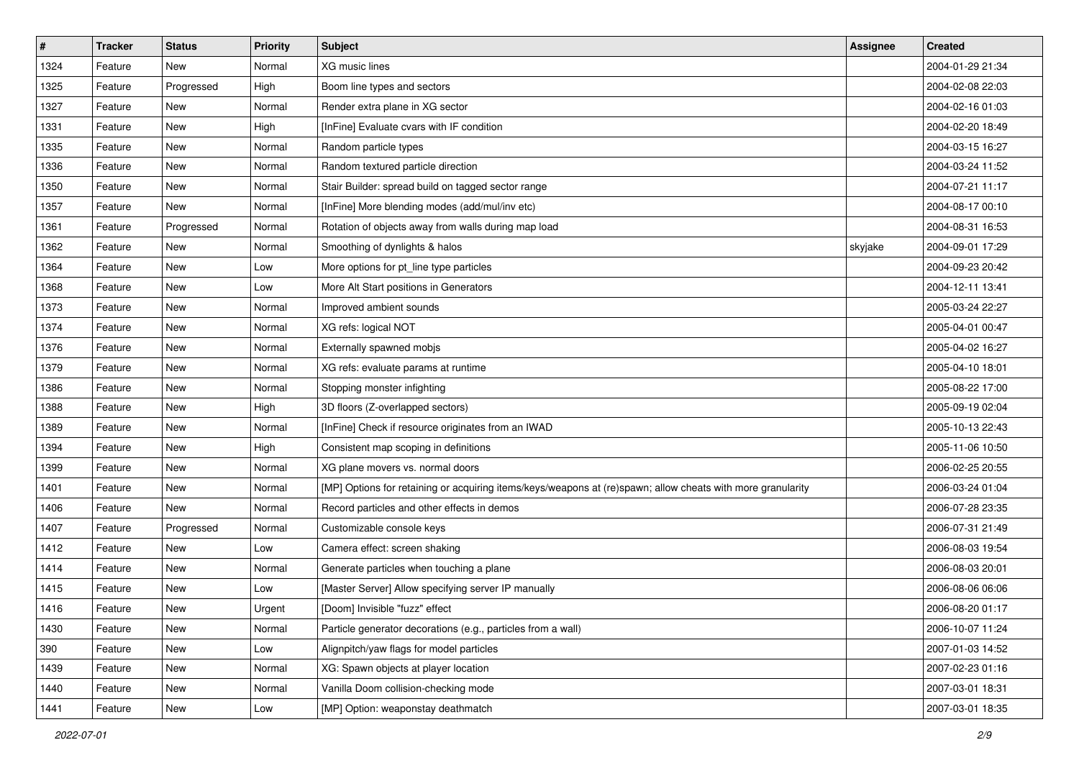| $\sharp$ | <b>Tracker</b> | <b>Status</b> | <b>Priority</b> | Subject                                                                                                     | <b>Assignee</b> | <b>Created</b>   |
|----------|----------------|---------------|-----------------|-------------------------------------------------------------------------------------------------------------|-----------------|------------------|
| 1324     | Feature        | New           | Normal          | XG music lines                                                                                              |                 | 2004-01-29 21:34 |
| 1325     | Feature        | Progressed    | High            | Boom line types and sectors                                                                                 |                 | 2004-02-08 22:03 |
| 1327     | Feature        | New           | Normal          | Render extra plane in XG sector                                                                             |                 | 2004-02-16 01:03 |
| 1331     | Feature        | New           | High            | [InFine] Evaluate cvars with IF condition                                                                   |                 | 2004-02-20 18:49 |
| 1335     | Feature        | New           | Normal          | Random particle types                                                                                       |                 | 2004-03-15 16:27 |
| 1336     | Feature        | New           | Normal          | Random textured particle direction                                                                          |                 | 2004-03-24 11:52 |
| 1350     | Feature        | New           | Normal          | Stair Builder: spread build on tagged sector range                                                          |                 | 2004-07-21 11:17 |
| 1357     | Feature        | New           | Normal          | [InFine] More blending modes (add/mul/inv etc)                                                              |                 | 2004-08-17 00:10 |
| 1361     | Feature        | Progressed    | Normal          | Rotation of objects away from walls during map load                                                         |                 | 2004-08-31 16:53 |
| 1362     | Feature        | New           | Normal          | Smoothing of dynlights & halos                                                                              | skyjake         | 2004-09-01 17:29 |
| 1364     | Feature        | New           | Low             | More options for pt_line type particles                                                                     |                 | 2004-09-23 20:42 |
| 1368     | Feature        | New           | Low             | More Alt Start positions in Generators                                                                      |                 | 2004-12-11 13:41 |
| 1373     | Feature        | New           | Normal          | Improved ambient sounds                                                                                     |                 | 2005-03-24 22:27 |
| 1374     | Feature        | New           | Normal          | XG refs: logical NOT                                                                                        |                 | 2005-04-01 00:47 |
| 1376     | Feature        | New           | Normal          | Externally spawned mobjs                                                                                    |                 | 2005-04-02 16:27 |
| 1379     | Feature        | New           | Normal          | XG refs: evaluate params at runtime                                                                         |                 | 2005-04-10 18:01 |
| 1386     | Feature        | New           | Normal          | Stopping monster infighting                                                                                 |                 | 2005-08-22 17:00 |
| 1388     | Feature        | New           | High            | 3D floors (Z-overlapped sectors)                                                                            |                 | 2005-09-19 02:04 |
| 1389     | Feature        | New           | Normal          | [InFine] Check if resource originates from an IWAD                                                          |                 | 2005-10-13 22:43 |
| 1394     | Feature        | New           | High            | Consistent map scoping in definitions                                                                       |                 | 2005-11-06 10:50 |
| 1399     | Feature        | New           | Normal          | XG plane movers vs. normal doors                                                                            |                 | 2006-02-25 20:55 |
| 1401     | Feature        | New           | Normal          | [MP] Options for retaining or acquiring items/keys/weapons at (re)spawn; allow cheats with more granularity |                 | 2006-03-24 01:04 |
| 1406     | Feature        | New           | Normal          | Record particles and other effects in demos                                                                 |                 | 2006-07-28 23:35 |
| 1407     | Feature        | Progressed    | Normal          | Customizable console keys                                                                                   |                 | 2006-07-31 21:49 |
| 1412     | Feature        | <b>New</b>    | Low             | Camera effect: screen shaking                                                                               |                 | 2006-08-03 19:54 |
| 1414     | Feature        | New           | Normal          | Generate particles when touching a plane                                                                    |                 | 2006-08-03 20:01 |
| 1415     | Feature        | New           | Low             | [Master Server] Allow specifying server IP manually                                                         |                 | 2006-08-06 06:06 |
| 1416     | Feature        | New           | Urgent          | [Doom] Invisible "fuzz" effect                                                                              |                 | 2006-08-20 01:17 |
| 1430     | Feature        | New           | Normal          | Particle generator decorations (e.g., particles from a wall)                                                |                 | 2006-10-07 11:24 |
| 390      | Feature        | New           | Low             | Alignpitch/yaw flags for model particles                                                                    |                 | 2007-01-03 14:52 |
| 1439     | Feature        | New           | Normal          | XG: Spawn objects at player location                                                                        |                 | 2007-02-23 01:16 |
| 1440     | Feature        | New           | Normal          | Vanilla Doom collision-checking mode                                                                        |                 | 2007-03-01 18:31 |
| 1441     | Feature        | New           | Low             | [MP] Option: weaponstay deathmatch                                                                          |                 | 2007-03-01 18:35 |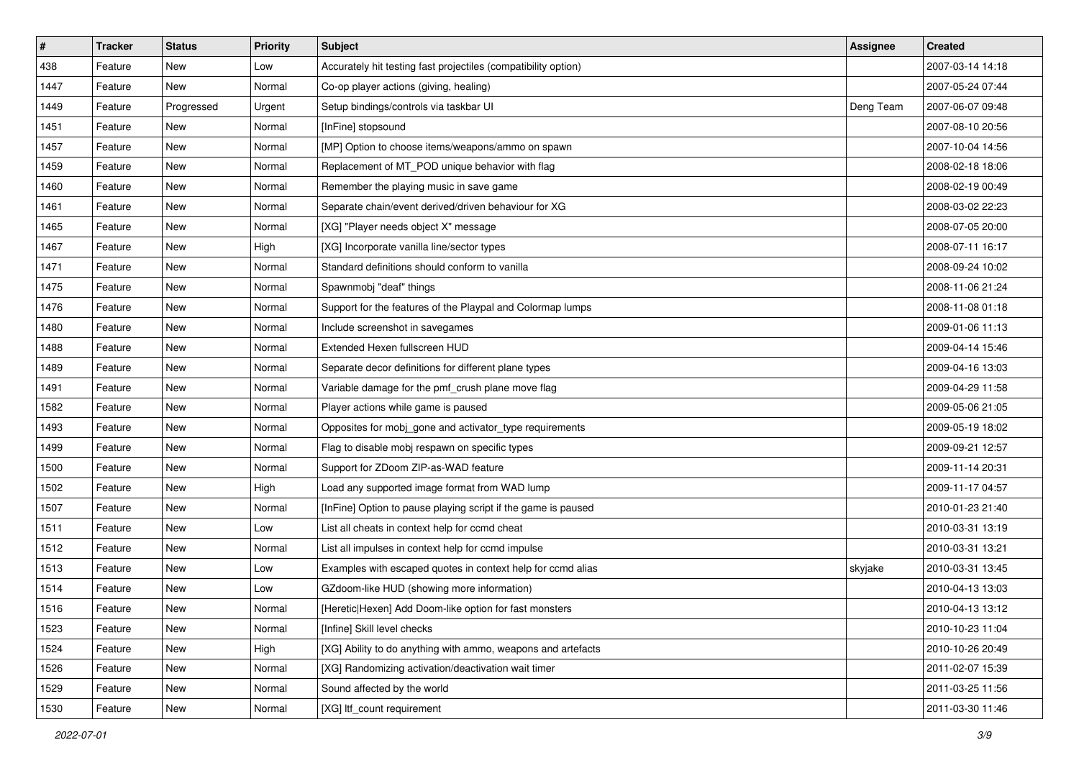| $\vert$ # | <b>Tracker</b> | <b>Status</b> | <b>Priority</b> | <b>Subject</b>                                                 | <b>Assignee</b> | <b>Created</b>   |
|-----------|----------------|---------------|-----------------|----------------------------------------------------------------|-----------------|------------------|
| 438       | Feature        | New           | Low             | Accurately hit testing fast projectiles (compatibility option) |                 | 2007-03-14 14:18 |
| 1447      | Feature        | New           | Normal          | Co-op player actions (giving, healing)                         |                 | 2007-05-24 07:44 |
| 1449      | Feature        | Progressed    | Urgent          | Setup bindings/controls via taskbar UI                         | Deng Team       | 2007-06-07 09:48 |
| 1451      | Feature        | New           | Normal          | [InFine] stopsound                                             |                 | 2007-08-10 20:56 |
| 1457      | Feature        | New           | Normal          | [MP] Option to choose items/weapons/ammo on spawn              |                 | 2007-10-04 14:56 |
| 1459      | Feature        | New           | Normal          | Replacement of MT_POD unique behavior with flag                |                 | 2008-02-18 18:06 |
| 1460      | Feature        | New           | Normal          | Remember the playing music in save game                        |                 | 2008-02-19 00:49 |
| 1461      | Feature        | New           | Normal          | Separate chain/event derived/driven behaviour for XG           |                 | 2008-03-02 22:23 |
| 1465      | Feature        | New           | Normal          | [XG] "Player needs object X" message                           |                 | 2008-07-05 20:00 |
| 1467      | Feature        | New           | High            | [XG] Incorporate vanilla line/sector types                     |                 | 2008-07-11 16:17 |
| 1471      | Feature        | New           | Normal          | Standard definitions should conform to vanilla                 |                 | 2008-09-24 10:02 |
| 1475      | Feature        | New           | Normal          | Spawnmobj "deaf" things                                        |                 | 2008-11-06 21:24 |
| 1476      | Feature        | New           | Normal          | Support for the features of the Playpal and Colormap lumps     |                 | 2008-11-08 01:18 |
| 1480      | Feature        | New           | Normal          | Include screenshot in savegames                                |                 | 2009-01-06 11:13 |
| 1488      | Feature        | New           | Normal          | Extended Hexen fullscreen HUD                                  |                 | 2009-04-14 15:46 |
| 1489      | Feature        | New           | Normal          | Separate decor definitions for different plane types           |                 | 2009-04-16 13:03 |
| 1491      | Feature        | New           | Normal          | Variable damage for the pmf_crush plane move flag              |                 | 2009-04-29 11:58 |
| 1582      | Feature        | New           | Normal          | Player actions while game is paused                            |                 | 2009-05-06 21:05 |
| 1493      | Feature        | New           | Normal          | Opposites for mobj_gone and activator_type requirements        |                 | 2009-05-19 18:02 |
| 1499      | Feature        | New           | Normal          | Flag to disable mobj respawn on specific types                 |                 | 2009-09-21 12:57 |
| 1500      | Feature        | New           | Normal          | Support for ZDoom ZIP-as-WAD feature                           |                 | 2009-11-14 20:31 |
| 1502      | Feature        | New           | High            | Load any supported image format from WAD lump                  |                 | 2009-11-17 04:57 |
| 1507      | Feature        | New           | Normal          | [InFine] Option to pause playing script if the game is paused  |                 | 2010-01-23 21:40 |
| 1511      | Feature        | New           | Low             | List all cheats in context help for ccmd cheat                 |                 | 2010-03-31 13:19 |
| 1512      | Feature        | New           | Normal          | List all impulses in context help for ccmd impulse             |                 | 2010-03-31 13:21 |
| 1513      | Feature        | New           | Low             | Examples with escaped quotes in context help for ccmd alias    | skyjake         | 2010-03-31 13:45 |
| 1514      | Feature        | New           | Low             | GZdoom-like HUD (showing more information)                     |                 | 2010-04-13 13:03 |
| 1516      | Feature        | New           | Normal          | [Heretic Hexen] Add Doom-like option for fast monsters         |                 | 2010-04-13 13:12 |
| 1523      | Feature        | New           | Normal          | [Infine] Skill level checks                                    |                 | 2010-10-23 11:04 |
| 1524      | Feature        | New           | High            | [XG] Ability to do anything with ammo, weapons and artefacts   |                 | 2010-10-26 20:49 |
| 1526      | Feature        | New           | Normal          | [XG] Randomizing activation/deactivation wait timer            |                 | 2011-02-07 15:39 |
| 1529      | Feature        | New           | Normal          | Sound affected by the world                                    |                 | 2011-03-25 11:56 |
| 1530      | Feature        | New           | Normal          | [XG] ltf_count requirement                                     |                 | 2011-03-30 11:46 |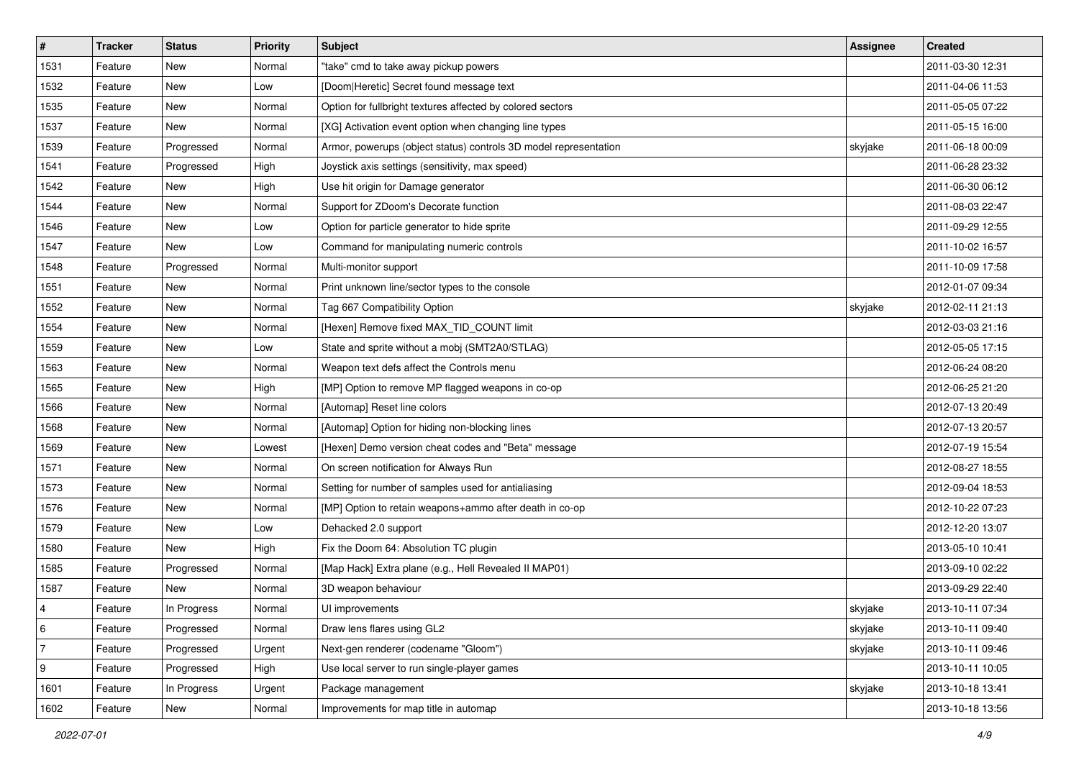| $\vert$ # | <b>Tracker</b> | <b>Status</b> | <b>Priority</b> | <b>Subject</b>                                                   | <b>Assignee</b> | <b>Created</b>   |
|-----------|----------------|---------------|-----------------|------------------------------------------------------------------|-----------------|------------------|
| 1531      | Feature        | New           | Normal          | "take" cmd to take away pickup powers                            |                 | 2011-03-30 12:31 |
| 1532      | Feature        | <b>New</b>    | Low             | [Doom Heretic] Secret found message text                         |                 | 2011-04-06 11:53 |
| 1535      | Feature        | New           | Normal          | Option for fullbright textures affected by colored sectors       |                 | 2011-05-05 07:22 |
| 1537      | Feature        | New           | Normal          | [XG] Activation event option when changing line types            |                 | 2011-05-15 16:00 |
| 1539      | Feature        | Progressed    | Normal          | Armor, powerups (object status) controls 3D model representation | skyjake         | 2011-06-18 00:09 |
| 1541      | Feature        | Progressed    | High            | Joystick axis settings (sensitivity, max speed)                  |                 | 2011-06-28 23:32 |
| 1542      | Feature        | New           | High            | Use hit origin for Damage generator                              |                 | 2011-06-30 06:12 |
| 1544      | Feature        | New           | Normal          | Support for ZDoom's Decorate function                            |                 | 2011-08-03 22:47 |
| 1546      | Feature        | New           | Low             | Option for particle generator to hide sprite                     |                 | 2011-09-29 12:55 |
| 1547      | Feature        | New           | Low             | Command for manipulating numeric controls                        |                 | 2011-10-02 16:57 |
| 1548      | Feature        | Progressed    | Normal          | Multi-monitor support                                            |                 | 2011-10-09 17:58 |
| 1551      | Feature        | New           | Normal          | Print unknown line/sector types to the console                   |                 | 2012-01-07 09:34 |
| 1552      | Feature        | New           | Normal          | Tag 667 Compatibility Option                                     | skyjake         | 2012-02-11 21:13 |
| 1554      | Feature        | New           | Normal          | [Hexen] Remove fixed MAX TID COUNT limit                         |                 | 2012-03-03 21:16 |
| 1559      | Feature        | New           | Low             | State and sprite without a mobj (SMT2A0/STLAG)                   |                 | 2012-05-05 17:15 |
| 1563      | Feature        | New           | Normal          | Weapon text defs affect the Controls menu                        |                 | 2012-06-24 08:20 |
| 1565      | Feature        | New           | High            | [MP] Option to remove MP flagged weapons in co-op                |                 | 2012-06-25 21:20 |
| 1566      | Feature        | New           | Normal          | [Automap] Reset line colors                                      |                 | 2012-07-13 20:49 |
| 1568      | Feature        | New           | Normal          | [Automap] Option for hiding non-blocking lines                   |                 | 2012-07-13 20:57 |
| 1569      | Feature        | New           | Lowest          | [Hexen] Demo version cheat codes and "Beta" message              |                 | 2012-07-19 15:54 |
| 1571      | Feature        | New           | Normal          | On screen notification for Always Run                            |                 | 2012-08-27 18:55 |
| 1573      | Feature        | New           | Normal          | Setting for number of samples used for antialiasing              |                 | 2012-09-04 18:53 |
| 1576      | Feature        | New           | Normal          | [MP] Option to retain weapons+ammo after death in co-op          |                 | 2012-10-22 07:23 |
| 1579      | Feature        | New           | Low             | Dehacked 2.0 support                                             |                 | 2012-12-20 13:07 |
| 1580      | Feature        | New           | High            | Fix the Doom 64: Absolution TC plugin                            |                 | 2013-05-10 10:41 |
| 1585      | Feature        | Progressed    | Normal          | [Map Hack] Extra plane (e.g., Hell Revealed II MAP01)            |                 | 2013-09-10 02:22 |
| 1587      | Feature        | New           | Normal          | 3D weapon behaviour                                              |                 | 2013-09-29 22:40 |
|           | Feature        | In Progress   | Normal          | UI improvements                                                  | skyjake         | 2013-10-11 07:34 |
| 6         | Feature        | Progressed    | Normal          | Draw lens flares using GL2                                       | skyjake         | 2013-10-11 09:40 |
| 7         | Feature        | Progressed    | Urgent          | Next-gen renderer (codename "Gloom")                             | skyjake         | 2013-10-11 09:46 |
| 9         | Feature        | Progressed    | High            | Use local server to run single-player games                      |                 | 2013-10-11 10:05 |
| 1601      | Feature        | In Progress   | Urgent          | Package management                                               | skyjake         | 2013-10-18 13:41 |
| 1602      | Feature        | New           | Normal          | Improvements for map title in automap                            |                 | 2013-10-18 13:56 |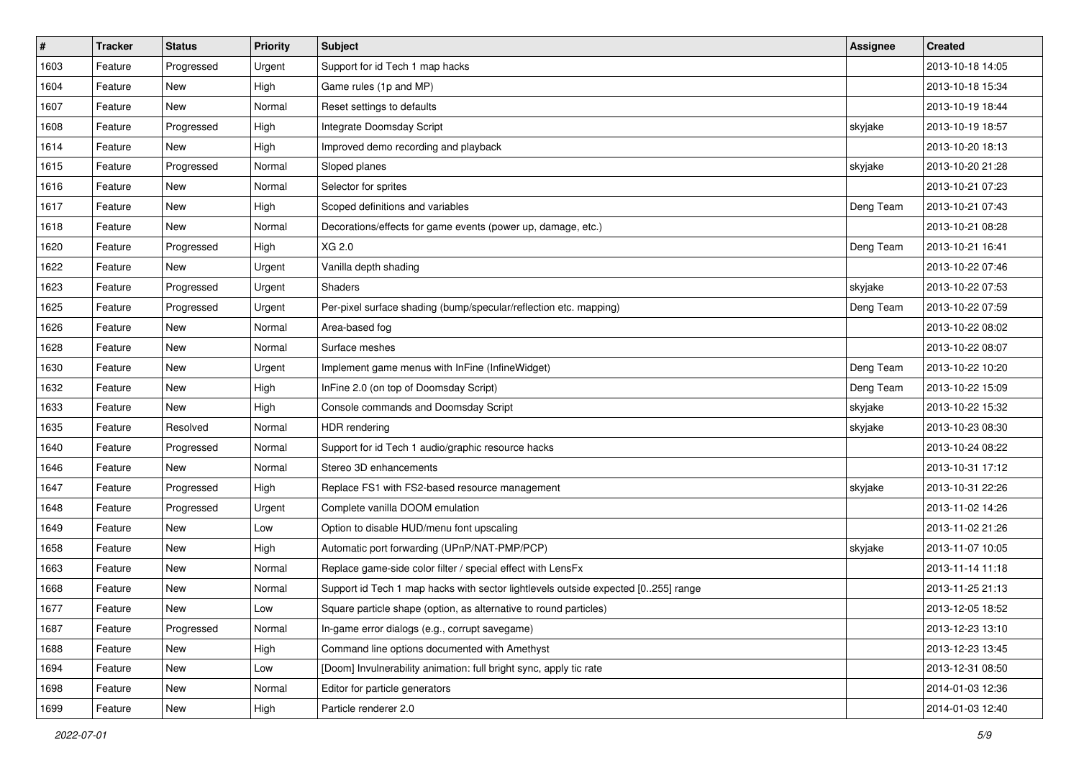| $\vert$ # | <b>Tracker</b> | <b>Status</b> | Priority | <b>Subject</b>                                                                    | <b>Assignee</b> | <b>Created</b>   |
|-----------|----------------|---------------|----------|-----------------------------------------------------------------------------------|-----------------|------------------|
| 1603      | Feature        | Progressed    | Urgent   | Support for id Tech 1 map hacks                                                   |                 | 2013-10-18 14:05 |
| 1604      | Feature        | New           | High     | Game rules (1p and MP)                                                            |                 | 2013-10-18 15:34 |
| 1607      | Feature        | New           | Normal   | Reset settings to defaults                                                        |                 | 2013-10-19 18:44 |
| 1608      | Feature        | Progressed    | High     | Integrate Doomsday Script                                                         | skyjake         | 2013-10-19 18:57 |
| 1614      | Feature        | New           | High     | Improved demo recording and playback                                              |                 | 2013-10-20 18:13 |
| 1615      | Feature        | Progressed    | Normal   | Sloped planes                                                                     | skyjake         | 2013-10-20 21:28 |
| 1616      | Feature        | New           | Normal   | Selector for sprites                                                              |                 | 2013-10-21 07:23 |
| 1617      | Feature        | New           | High     | Scoped definitions and variables                                                  | Deng Team       | 2013-10-21 07:43 |
| 1618      | Feature        | New           | Normal   | Decorations/effects for game events (power up, damage, etc.)                      |                 | 2013-10-21 08:28 |
| 1620      | Feature        | Progressed    | High     | XG 2.0                                                                            | Deng Team       | 2013-10-21 16:41 |
| 1622      | Feature        | New           | Urgent   | Vanilla depth shading                                                             |                 | 2013-10-22 07:46 |
| 1623      | Feature        | Progressed    | Urgent   | <b>Shaders</b>                                                                    | skyjake         | 2013-10-22 07:53 |
| 1625      | Feature        | Progressed    | Urgent   | Per-pixel surface shading (bump/specular/reflection etc. mapping)                 | Deng Team       | 2013-10-22 07:59 |
| 1626      | Feature        | New           | Normal   | Area-based fog                                                                    |                 | 2013-10-22 08:02 |
| 1628      | Feature        | New           | Normal   | Surface meshes                                                                    |                 | 2013-10-22 08:07 |
| 1630      | Feature        | New           | Urgent   | Implement game menus with InFine (InfineWidget)                                   | Deng Team       | 2013-10-22 10:20 |
| 1632      | Feature        | New           | High     | InFine 2.0 (on top of Doomsday Script)                                            | Deng Team       | 2013-10-22 15:09 |
| 1633      | Feature        | New           | High     | Console commands and Doomsday Script                                              | skyjake         | 2013-10-22 15:32 |
| 1635      | Feature        | Resolved      | Normal   | <b>HDR</b> rendering                                                              | skyjake         | 2013-10-23 08:30 |
| 1640      | Feature        | Progressed    | Normal   | Support for id Tech 1 audio/graphic resource hacks                                |                 | 2013-10-24 08:22 |
| 1646      | Feature        | New           | Normal   | Stereo 3D enhancements                                                            |                 | 2013-10-31 17:12 |
| 1647      | Feature        | Progressed    | High     | Replace FS1 with FS2-based resource management                                    | skyjake         | 2013-10-31 22:26 |
| 1648      | Feature        | Progressed    | Urgent   | Complete vanilla DOOM emulation                                                   |                 | 2013-11-02 14:26 |
| 1649      | Feature        | New           | Low      | Option to disable HUD/menu font upscaling                                         |                 | 2013-11-02 21:26 |
| 1658      | Feature        | New           | High     | Automatic port forwarding (UPnP/NAT-PMP/PCP)                                      | skyjake         | 2013-11-07 10:05 |
| 1663      | Feature        | New           | Normal   | Replace game-side color filter / special effect with LensFx                       |                 | 2013-11-14 11:18 |
| 1668      | Feature        | New           | Normal   | Support id Tech 1 map hacks with sector lightlevels outside expected [0255] range |                 | 2013-11-25 21:13 |
| 1677      | Feature        | New           | Low      | Square particle shape (option, as alternative to round particles)                 |                 | 2013-12-05 18:52 |
| 1687      | Feature        | Progressed    | Normal   | In-game error dialogs (e.g., corrupt savegame)                                    |                 | 2013-12-23 13:10 |
| 1688      | Feature        | New           | High     | Command line options documented with Amethyst                                     |                 | 2013-12-23 13:45 |
| 1694      | Feature        | New           | Low      | [Doom] Invulnerability animation: full bright sync, apply tic rate                |                 | 2013-12-31 08:50 |
| 1698      | Feature        | New           | Normal   | Editor for particle generators                                                    |                 | 2014-01-03 12:36 |
| 1699      | Feature        | New           | High     | Particle renderer 2.0                                                             |                 | 2014-01-03 12:40 |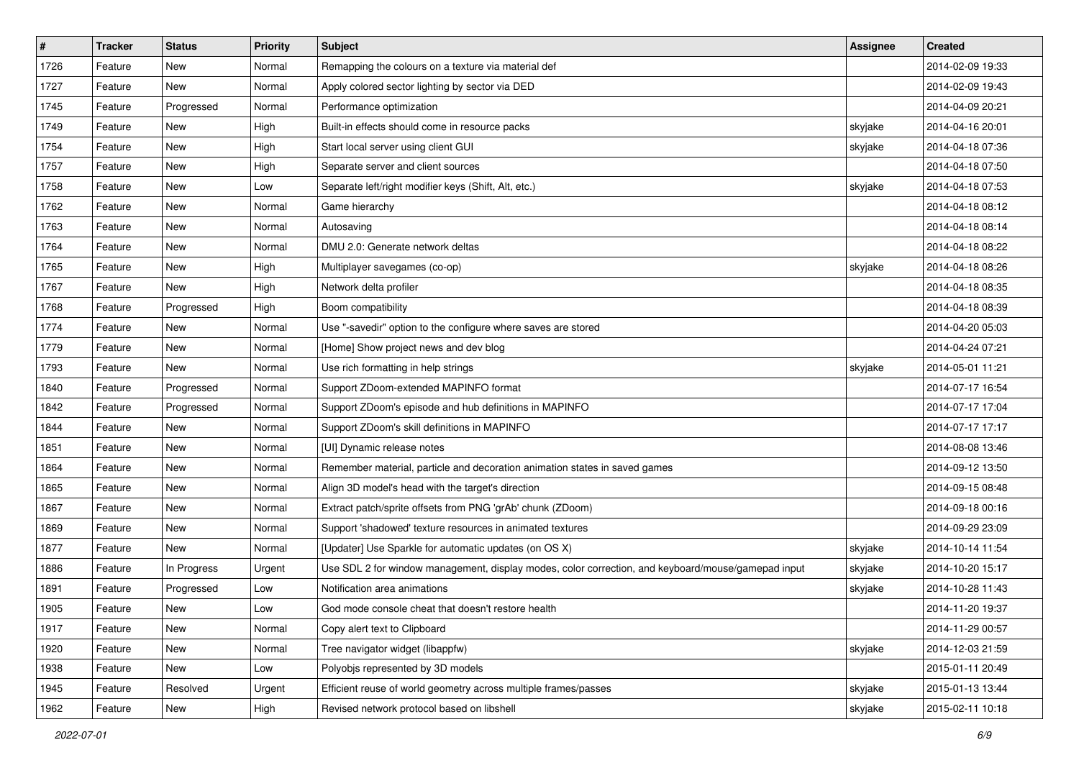| $\vert$ # | Tracker | <b>Status</b> | <b>Priority</b> | Subject                                                                                            | Assignee | <b>Created</b>   |
|-----------|---------|---------------|-----------------|----------------------------------------------------------------------------------------------------|----------|------------------|
| 1726      | Feature | New           | Normal          | Remapping the colours on a texture via material def                                                |          | 2014-02-09 19:33 |
| 1727      | Feature | New           | Normal          | Apply colored sector lighting by sector via DED                                                    |          | 2014-02-09 19:43 |
| 1745      | Feature | Progressed    | Normal          | Performance optimization                                                                           |          | 2014-04-09 20:21 |
| 1749      | Feature | New           | High            | Built-in effects should come in resource packs                                                     | skyjake  | 2014-04-16 20:01 |
| 1754      | Feature | New           | High            | Start local server using client GUI                                                                | skyjake  | 2014-04-18 07:36 |
| 1757      | Feature | New           | High            | Separate server and client sources                                                                 |          | 2014-04-18 07:50 |
| 1758      | Feature | New           | Low             | Separate left/right modifier keys (Shift, Alt, etc.)                                               | skyjake  | 2014-04-18 07:53 |
| 1762      | Feature | New           | Normal          | Game hierarchy                                                                                     |          | 2014-04-18 08:12 |
| 1763      | Feature | New           | Normal          | Autosaving                                                                                         |          | 2014-04-18 08:14 |
| 1764      | Feature | New           | Normal          | DMU 2.0: Generate network deltas                                                                   |          | 2014-04-18 08:22 |
| 1765      | Feature | New           | High            | Multiplayer savegames (co-op)                                                                      | skyjake  | 2014-04-18 08:26 |
| 1767      | Feature | New           | High            | Network delta profiler                                                                             |          | 2014-04-18 08:35 |
| 1768      | Feature | Progressed    | High            | Boom compatibility                                                                                 |          | 2014-04-18 08:39 |
| 1774      | Feature | <b>New</b>    | Normal          | Use "-savedir" option to the configure where saves are stored                                      |          | 2014-04-20 05:03 |
| 1779      | Feature | New           | Normal          | [Home] Show project news and dev blog                                                              |          | 2014-04-24 07:21 |
| 1793      | Feature | New           | Normal          | Use rich formatting in help strings                                                                | skyjake  | 2014-05-01 11:21 |
| 1840      | Feature | Progressed    | Normal          | Support ZDoom-extended MAPINFO format                                                              |          | 2014-07-17 16:54 |
| 1842      | Feature | Progressed    | Normal          | Support ZDoom's episode and hub definitions in MAPINFO                                             |          | 2014-07-17 17:04 |
| 1844      | Feature | New           | Normal          | Support ZDoom's skill definitions in MAPINFO                                                       |          | 2014-07-17 17:17 |
| 1851      | Feature | New           | Normal          | [UI] Dynamic release notes                                                                         |          | 2014-08-08 13:46 |
| 1864      | Feature | New           | Normal          | Remember material, particle and decoration animation states in saved games                         |          | 2014-09-12 13:50 |
| 1865      | Feature | New           | Normal          | Align 3D model's head with the target's direction                                                  |          | 2014-09-15 08:48 |
| 1867      | Feature | New           | Normal          | Extract patch/sprite offsets from PNG 'grAb' chunk (ZDoom)                                         |          | 2014-09-18 00:16 |
| 1869      | Feature | New           | Normal          | Support 'shadowed' texture resources in animated textures                                          |          | 2014-09-29 23:09 |
| 1877      | Feature | New           | Normal          | [Updater] Use Sparkle for automatic updates (on OS X)                                              | skyjake  | 2014-10-14 11:54 |
| 1886      | Feature | In Progress   | Urgent          | Use SDL 2 for window management, display modes, color correction, and keyboard/mouse/gamepad input | skyjake  | 2014-10-20 15:17 |
| 1891      | Feature | Progressed    | Low             | Notification area animations                                                                       | skyjake  | 2014-10-28 11:43 |
| 1905      | Feature | New           | Low             | God mode console cheat that doesn't restore health                                                 |          | 2014-11-20 19:37 |
| 1917      | Feature | New           | Normal          | Copy alert text to Clipboard                                                                       |          | 2014-11-29 00:57 |
| 1920      | Feature | New           | Normal          | Tree navigator widget (libappfw)                                                                   | skyjake  | 2014-12-03 21:59 |
| 1938      | Feature | New           | Low             | Polyobjs represented by 3D models                                                                  |          | 2015-01-11 20:49 |
| 1945      | Feature | Resolved      | Urgent          | Efficient reuse of world geometry across multiple frames/passes                                    | skyjake  | 2015-01-13 13:44 |
| 1962      | Feature | New           | High            | Revised network protocol based on libshell                                                         | skyjake  | 2015-02-11 10:18 |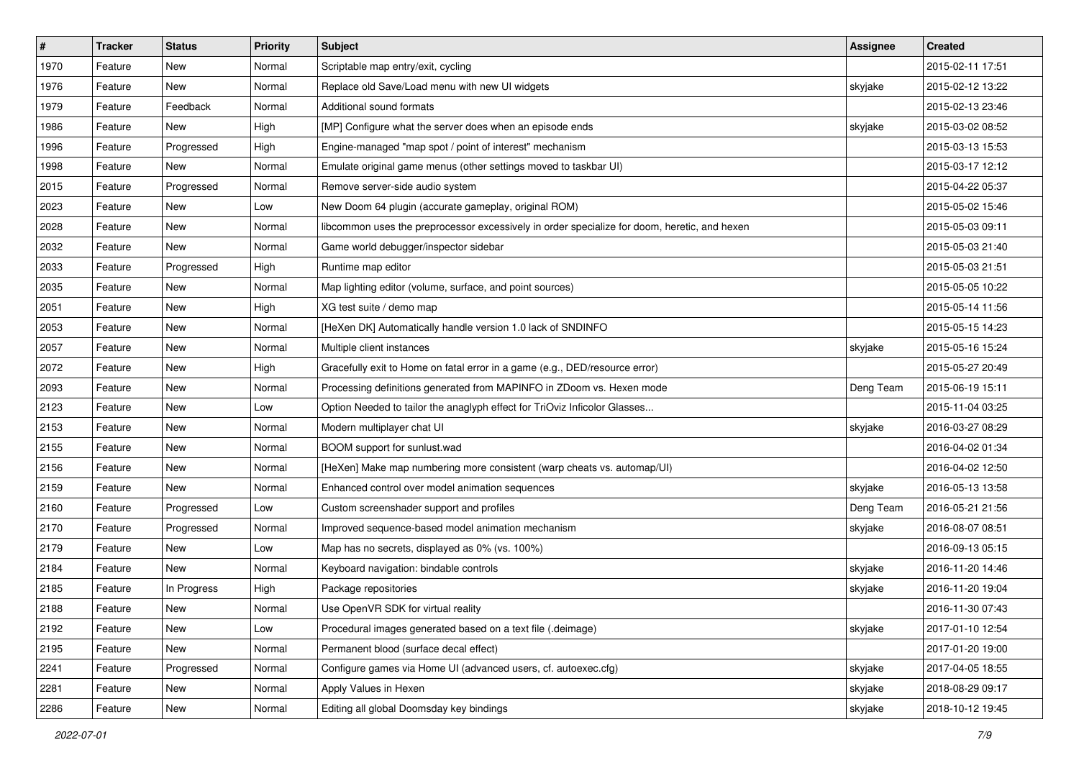| $\vert$ # | <b>Tracker</b> | <b>Status</b> | <b>Priority</b> | Subject                                                                                      | <b>Assignee</b> | <b>Created</b>   |
|-----------|----------------|---------------|-----------------|----------------------------------------------------------------------------------------------|-----------------|------------------|
| 1970      | Feature        | New           | Normal          | Scriptable map entry/exit, cycling                                                           |                 | 2015-02-11 17:51 |
| 1976      | Feature        | New           | Normal          | Replace old Save/Load menu with new UI widgets                                               | skyjake         | 2015-02-12 13:22 |
| 1979      | Feature        | Feedback      | Normal          | Additional sound formats                                                                     |                 | 2015-02-13 23:46 |
| 1986      | Feature        | New           | High            | [MP] Configure what the server does when an episode ends                                     | skyjake         | 2015-03-02 08:52 |
| 1996      | Feature        | Progressed    | High            | Engine-managed "map spot / point of interest" mechanism                                      |                 | 2015-03-13 15:53 |
| 1998      | Feature        | New           | Normal          | Emulate original game menus (other settings moved to taskbar UI)                             |                 | 2015-03-17 12:12 |
| 2015      | Feature        | Progressed    | Normal          | Remove server-side audio system                                                              |                 | 2015-04-22 05:37 |
| 2023      | Feature        | New           | Low             | New Doom 64 plugin (accurate gameplay, original ROM)                                         |                 | 2015-05-02 15:46 |
| 2028      | Feature        | New           | Normal          | libcommon uses the preprocessor excessively in order specialize for doom, heretic, and hexen |                 | 2015-05-03 09:11 |
| 2032      | Feature        | New           | Normal          | Game world debugger/inspector sidebar                                                        |                 | 2015-05-03 21:40 |
| 2033      | Feature        | Progressed    | High            | Runtime map editor                                                                           |                 | 2015-05-03 21:51 |
| 2035      | Feature        | New           | Normal          | Map lighting editor (volume, surface, and point sources)                                     |                 | 2015-05-05 10:22 |
| 2051      | Feature        | New           | High            | XG test suite / demo map                                                                     |                 | 2015-05-14 11:56 |
| 2053      | Feature        | New           | Normal          | [HeXen DK] Automatically handle version 1.0 lack of SNDINFO                                  |                 | 2015-05-15 14:23 |
| 2057      | Feature        | New           | Normal          | Multiple client instances                                                                    | skyjake         | 2015-05-16 15:24 |
| 2072      | Feature        | New           | High            | Gracefully exit to Home on fatal error in a game (e.g., DED/resource error)                  |                 | 2015-05-27 20:49 |
| 2093      | Feature        | New           | Normal          | Processing definitions generated from MAPINFO in ZDoom vs. Hexen mode                        | Deng Team       | 2015-06-19 15:11 |
| 2123      | Feature        | <b>New</b>    | Low             | Option Needed to tailor the anaglyph effect for TriOviz Inficolor Glasses                    |                 | 2015-11-04 03:25 |
| 2153      | Feature        | New           | Normal          | Modern multiplayer chat UI                                                                   | skyjake         | 2016-03-27 08:29 |
| 2155      | Feature        | New           | Normal          | BOOM support for sunlust.wad                                                                 |                 | 2016-04-02 01:34 |
| 2156      | Feature        | New           | Normal          | [HeXen] Make map numbering more consistent (warp cheats vs. automap/UI)                      |                 | 2016-04-02 12:50 |
| 2159      | Feature        | New           | Normal          | Enhanced control over model animation sequences                                              | skyjake         | 2016-05-13 13:58 |
| 2160      | Feature        | Progressed    | Low             | Custom screenshader support and profiles                                                     | Deng Team       | 2016-05-21 21:56 |
| 2170      | Feature        | Progressed    | Normal          | Improved sequence-based model animation mechanism                                            | skyjake         | 2016-08-07 08:51 |
| 2179      | Feature        | New           | Low             | Map has no secrets, displayed as 0% (vs. 100%)                                               |                 | 2016-09-13 05:15 |
| 2184      | Feature        | New           | Normal          | Keyboard navigation: bindable controls                                                       | skyjake         | 2016-11-20 14:46 |
| 2185      | Feature        | In Progress   | High            | Package repositories                                                                         | skyjake         | 2016-11-20 19:04 |
| 2188      | Feature        | New           | Normal          | Use OpenVR SDK for virtual reality                                                           |                 | 2016-11-30 07:43 |
| 2192      | Feature        | New           | Low             | Procedural images generated based on a text file (.deimage)                                  | skyjake         | 2017-01-10 12:54 |
| 2195      | Feature        | New           | Normal          | Permanent blood (surface decal effect)                                                       |                 | 2017-01-20 19:00 |
| 2241      | Feature        | Progressed    | Normal          | Configure games via Home UI (advanced users, cf. autoexec.cfg)                               | skyjake         | 2017-04-05 18:55 |
| 2281      | Feature        | New           | Normal          | Apply Values in Hexen                                                                        | skyjake         | 2018-08-29 09:17 |
| 2286      | Feature        | New           | Normal          | Editing all global Doomsday key bindings                                                     | skyjake         | 2018-10-12 19:45 |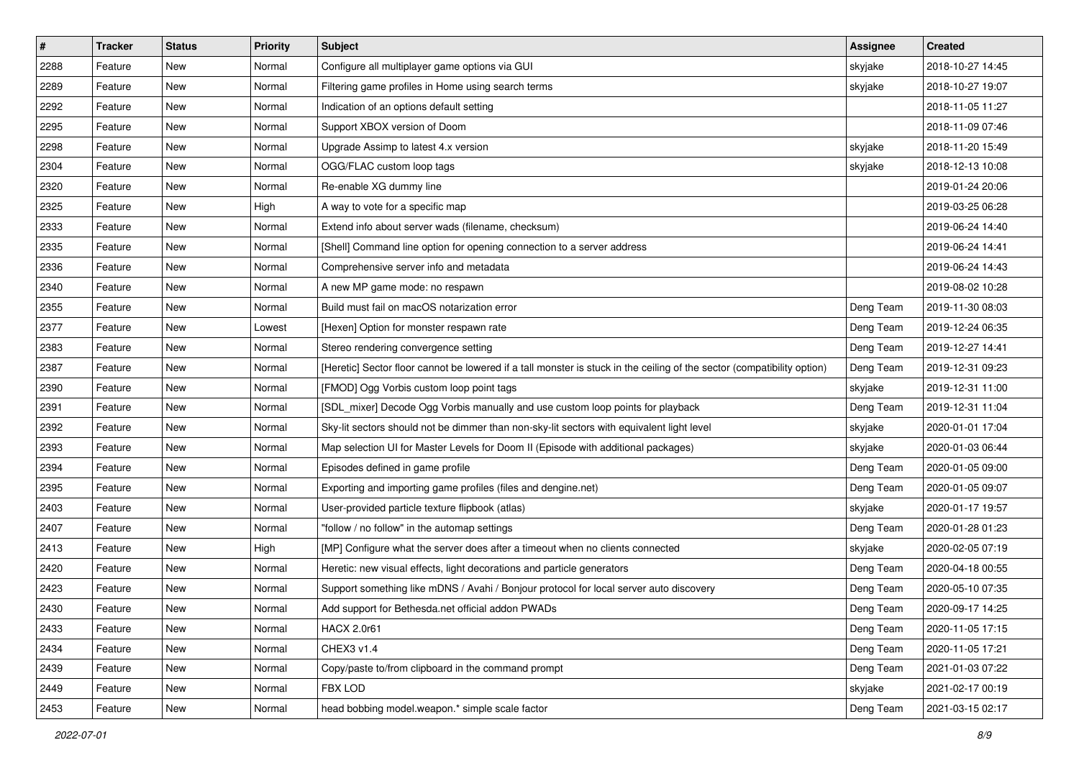| $\sharp$ | <b>Tracker</b> | <b>Status</b> | <b>Priority</b> | <b>Subject</b>                                                                                                          | <b>Assignee</b> | <b>Created</b>   |
|----------|----------------|---------------|-----------------|-------------------------------------------------------------------------------------------------------------------------|-----------------|------------------|
| 2288     | Feature        | New           | Normal          | Configure all multiplayer game options via GUI                                                                          | skyjake         | 2018-10-27 14:45 |
| 2289     | Feature        | New           | Normal          | Filtering game profiles in Home using search terms                                                                      | skyjake         | 2018-10-27 19:07 |
| 2292     | Feature        | New           | Normal          | Indication of an options default setting                                                                                |                 | 2018-11-05 11:27 |
| 2295     | Feature        | New           | Normal          | Support XBOX version of Doom                                                                                            |                 | 2018-11-09 07:46 |
| 2298     | Feature        | New           | Normal          | Upgrade Assimp to latest 4.x version                                                                                    | skyjake         | 2018-11-20 15:49 |
| 2304     | Feature        | New           | Normal          | OGG/FLAC custom loop tags                                                                                               | skyjake         | 2018-12-13 10:08 |
| 2320     | Feature        | <b>New</b>    | Normal          | Re-enable XG dummy line                                                                                                 |                 | 2019-01-24 20:06 |
| 2325     | Feature        | New           | High            | A way to vote for a specific map                                                                                        |                 | 2019-03-25 06:28 |
| 2333     | Feature        | New           | Normal          | Extend info about server wads (filename, checksum)                                                                      |                 | 2019-06-24 14:40 |
| 2335     | Feature        | New           | Normal          | [Shell] Command line option for opening connection to a server address                                                  |                 | 2019-06-24 14:41 |
| 2336     | Feature        | New           | Normal          | Comprehensive server info and metadata                                                                                  |                 | 2019-06-24 14:43 |
| 2340     | Feature        | <b>New</b>    | Normal          | A new MP game mode: no respawn                                                                                          |                 | 2019-08-02 10:28 |
| 2355     | Feature        | New           | Normal          | Build must fail on macOS notarization error                                                                             | Deng Team       | 2019-11-30 08:03 |
| 2377     | Feature        | New           | Lowest          | [Hexen] Option for monster respawn rate                                                                                 | Deng Team       | 2019-12-24 06:35 |
| 2383     | Feature        | New           | Normal          | Stereo rendering convergence setting                                                                                    | Deng Team       | 2019-12-27 14:41 |
| 2387     | Feature        | New           | Normal          | [Heretic] Sector floor cannot be lowered if a tall monster is stuck in the ceiling of the sector (compatibility option) | Deng Team       | 2019-12-31 09:23 |
| 2390     | Feature        | New           | Normal          | [FMOD] Ogg Vorbis custom loop point tags                                                                                | skyjake         | 2019-12-31 11:00 |
| 2391     | Feature        | New           | Normal          | [SDL_mixer] Decode Ogg Vorbis manually and use custom loop points for playback                                          | Deng Team       | 2019-12-31 11:04 |
| 2392     | Feature        | New           | Normal          | Sky-lit sectors should not be dimmer than non-sky-lit sectors with equivalent light level                               | skyjake         | 2020-01-01 17:04 |
| 2393     | Feature        | New           | Normal          | Map selection UI for Master Levels for Doom II (Episode with additional packages)                                       | skyjake         | 2020-01-03 06:44 |
| 2394     | Feature        | New           | Normal          | Episodes defined in game profile                                                                                        | Deng Team       | 2020-01-05 09:00 |
| 2395     | Feature        | New           | Normal          | Exporting and importing game profiles (files and dengine.net)                                                           | Deng Team       | 2020-01-05 09:07 |
| 2403     | Feature        | New           | Normal          | User-provided particle texture flipbook (atlas)                                                                         | skyjake         | 2020-01-17 19:57 |
| 2407     | Feature        | New           | Normal          | "follow / no follow" in the automap settings                                                                            | Deng Team       | 2020-01-28 01:23 |
| 2413     | Feature        | <b>New</b>    | High            | [MP] Configure what the server does after a timeout when no clients connected                                           | skyjake         | 2020-02-05 07:19 |
| 2420     | Feature        | New           | Normal          | Heretic: new visual effects, light decorations and particle generators                                                  | Deng Team       | 2020-04-18 00:55 |
| 2423     | Feature        | <b>New</b>    | Normal          | Support something like mDNS / Avahi / Bonjour protocol for local server auto discovery                                  | Deng Team       | 2020-05-10 07:35 |
| 2430     | Feature        | New           | Normal          | Add support for Bethesda.net official addon PWADs                                                                       | Deng Team       | 2020-09-17 14:25 |
| 2433     | Feature        | New           | Normal          | <b>HACX 2.0r61</b>                                                                                                      | Deng Team       | 2020-11-05 17:15 |
| 2434     | Feature        | New           | Normal          | CHEX3 v1.4                                                                                                              | Deng Team       | 2020-11-05 17:21 |
| 2439     | Feature        | New           | Normal          | Copy/paste to/from clipboard in the command prompt                                                                      | Deng Team       | 2021-01-03 07:22 |
| 2449     | Feature        | New           | Normal          | FBX LOD                                                                                                                 | skyjake         | 2021-02-17 00:19 |
| 2453     | Feature        | New           | Normal          | head bobbing model.weapon.* simple scale factor                                                                         | Deng Team       | 2021-03-15 02:17 |